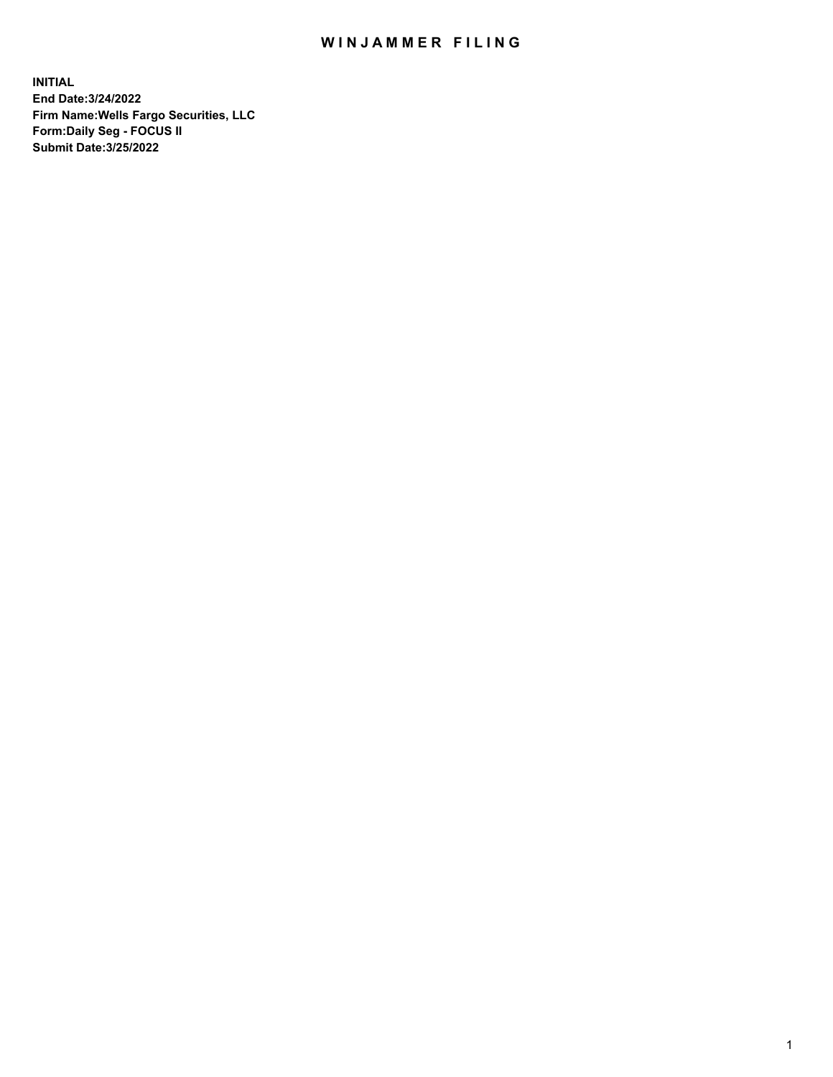## WIN JAMMER FILING

**INITIAL End Date:3/24/2022 Firm Name:Wells Fargo Securities, LLC Form:Daily Seg - FOCUS II Submit Date:3/25/2022**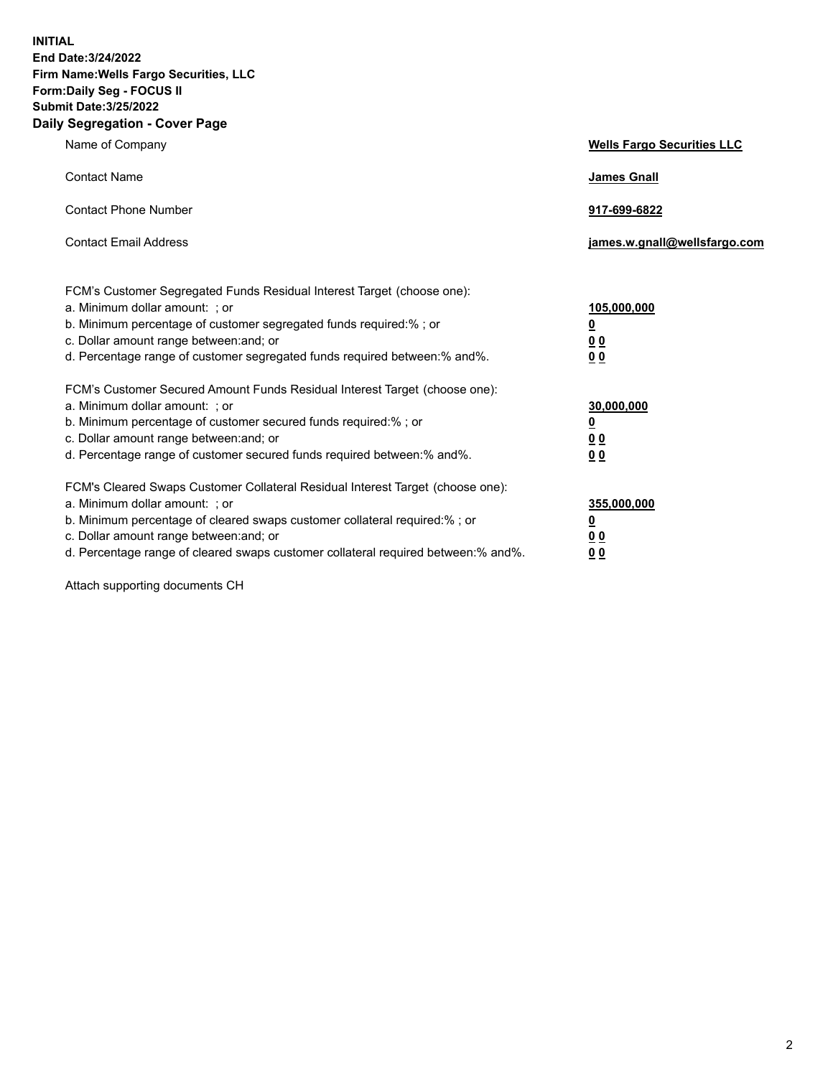**INITIAL End Date:3/24/2022 Firm Name:Wells Fargo Securities, LLC Form:Daily Seg - FOCUS II Submit Date:3/25/2022 Daily Segregation - Cover Page**

| Name of Company                                                                                                                                                                                                                                                                                                                | <b>Wells Fargo Securities LLC</b>                          |
|--------------------------------------------------------------------------------------------------------------------------------------------------------------------------------------------------------------------------------------------------------------------------------------------------------------------------------|------------------------------------------------------------|
| <b>Contact Name</b>                                                                                                                                                                                                                                                                                                            | <b>James Gnall</b>                                         |
| <b>Contact Phone Number</b>                                                                                                                                                                                                                                                                                                    | 917-699-6822                                               |
| <b>Contact Email Address</b>                                                                                                                                                                                                                                                                                                   | james.w.gnall@wellsfargo.com                               |
| FCM's Customer Segregated Funds Residual Interest Target (choose one):<br>a. Minimum dollar amount: ; or<br>b. Minimum percentage of customer segregated funds required:% ; or<br>c. Dollar amount range between: and; or<br>d. Percentage range of customer segregated funds required between:% and%.                         | 105,000,000<br><u>0</u><br>0 <sub>0</sub><br>00            |
| FCM's Customer Secured Amount Funds Residual Interest Target (choose one):<br>a. Minimum dollar amount: ; or<br>b. Minimum percentage of customer secured funds required:%; or<br>c. Dollar amount range between: and; or<br>d. Percentage range of customer secured funds required between:% and%.                            | 30,000,000<br><u>0</u><br>0 <sub>0</sub><br>0 <sub>0</sub> |
| FCM's Cleared Swaps Customer Collateral Residual Interest Target (choose one):<br>a. Minimum dollar amount: ; or<br>b. Minimum percentage of cleared swaps customer collateral required:% ; or<br>c. Dollar amount range between: and; or<br>d. Percentage range of cleared swaps customer collateral required between:% and%. | 355,000,000<br><u>0</u><br>00<br>00                        |

Attach supporting documents CH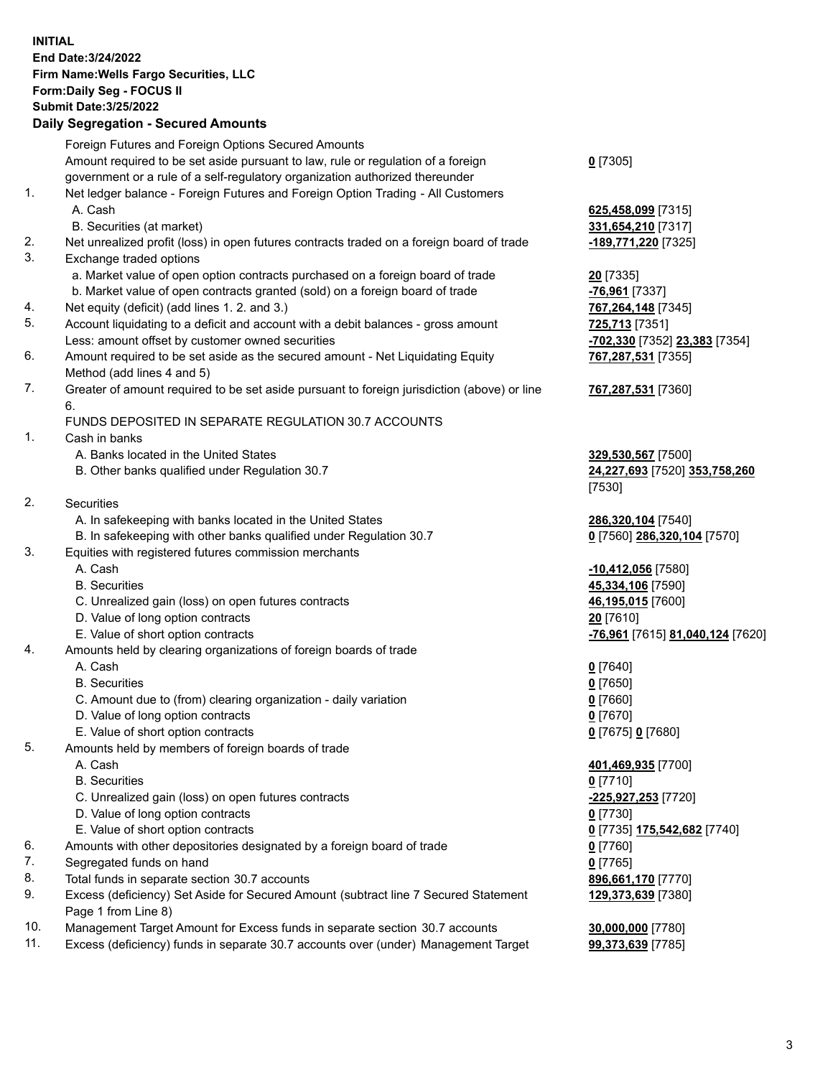**INITIAL End Date:3/24/2022 Firm Name:Wells Fargo Securities, LLC Form:Daily Seg - FOCUS II Submit Date:3/25/2022 Daily Segregation - Secured Amounts**

Foreign Futures and Foreign Options Secured Amounts Amount required to be set aside pursuant to law, rule or regulation of a foreign government or a rule of a self-regulatory organization authorized thereunder **0** [7305] 1. Net ledger balance - Foreign Futures and Foreign Option Trading - All Customers A. Cash **625,458,099** [7315] B. Securities (at market) **331,654,210** [7317] 2. Net unrealized profit (loss) in open futures contracts traded on a foreign board of trade **-189,771,220** [7325] 3. Exchange traded options a. Market value of open option contracts purchased on a foreign board of trade **20** [7335] b. Market value of open contracts granted (sold) on a foreign board of trade **-76,961** [7337] 4. Net equity (deficit) (add lines 1. 2. and 3.) **767,264,148** [7345] 5. Account liquidating to a deficit and account with a debit balances - gross amount **725,713** [7351] Less: amount offset by customer owned securities **-702,330** [7352] **23,383** [7354] 6. Amount required to be set aside as the secured amount - Net Liquidating Equity Method (add lines 4 and 5) 7. Greater of amount required to be set aside pursuant to foreign jurisdiction (above) or line 6. FUNDS DEPOSITED IN SEPARATE REGULATION 30.7 ACCOUNTS 1. Cash in banks A. Banks located in the United States **329,530,567** [7500] B. Other banks qualified under Regulation 30.7 **24,227,693** [7520] **353,758,260** [7530] 2. Securities A. In safekeeping with banks located in the United States **286,320,104** [7540] B. In safekeeping with other banks qualified under Regulation 30.7 **0** [7560] **286,320,104** [7570] 3. Equities with registered futures commission merchants A. Cash **-10,412,056** [7580] B. Securities **45,334,106** [7590] C. Unrealized gain (loss) on open futures contracts **46,195,015** [7600] D. Value of long option contracts **20** [7610] E. Value of short option contracts **-76,961** [7615] **81,040,124** [7620] 4. Amounts held by clearing organizations of foreign boards of trade A. Cash **0** [7640] B. Securities **0** [7650] C. Amount due to (from) clearing organization - daily variation **0** [7660] D. Value of long option contracts **0** [7670] E. Value of short option contracts **0** [7675] **0** [7680] 5. Amounts held by members of foreign boards of trade A. Cash **401,469,935** [7700] B. Securities **0** [7710] C. Unrealized gain (loss) on open futures contracts **-225,927,253** [7720]

- D. Value of long option contracts **0** [7730]
- E. Value of short option contracts **0** [7735] **175,542,682** [7740]
- 6. Amounts with other depositories designated by a foreign board of trade **0** [7760]
- 7. Segregated funds on hand **0** [7765]
- 8. Total funds in separate section 30.7 accounts **896,661,170** [7770]
- 9. Excess (deficiency) Set Aside for Secured Amount (subtract line 7 Secured Statement Page 1 from Line 8)
- 10. Management Target Amount for Excess funds in separate section 30.7 accounts **30,000,000** [7780]
- 11. Excess (deficiency) funds in separate 30.7 accounts over (under) Management Target **99,373,639** [7785]

**767,287,531** [7355]

## **767,287,531** [7360]

**129,373,639** [7380]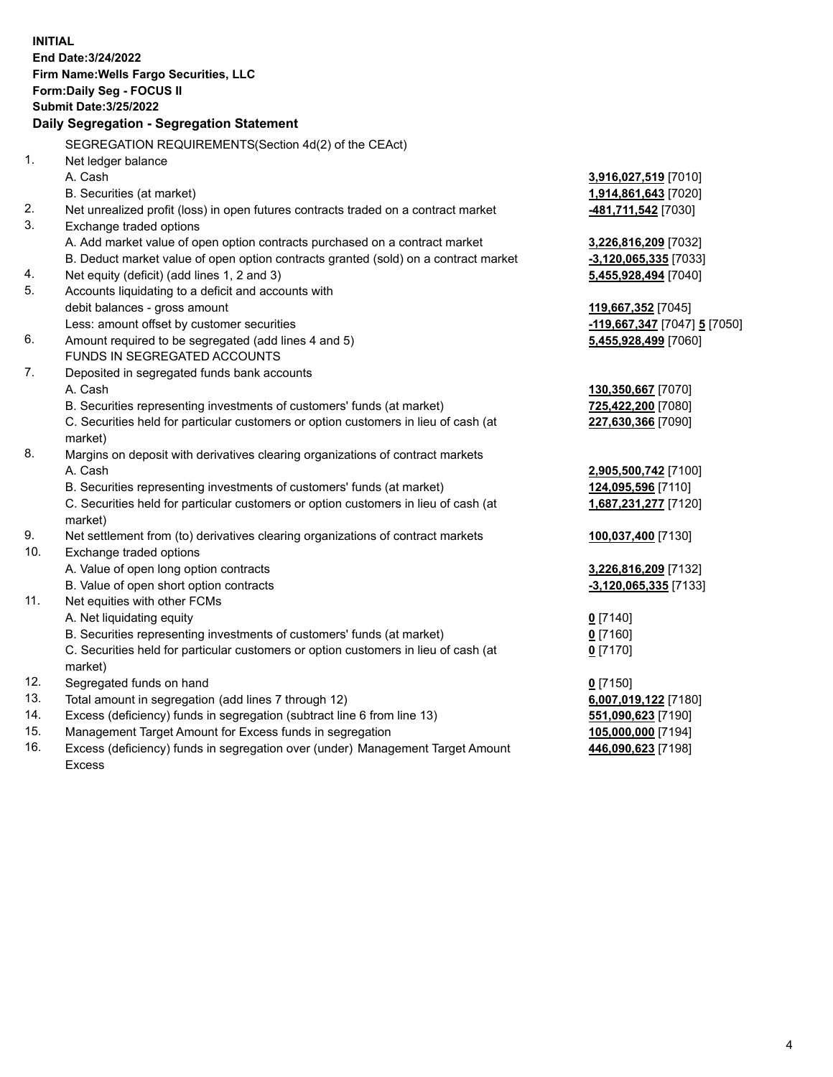**INITIAL End Date:3/24/2022 Firm Name:Wells Fargo Securities, LLC Form:Daily Seg - FOCUS II Submit Date:3/25/2022 Daily Segregation - Segregation Statement** SEGREGATION REQUIREMENTS(Section 4d(2) of the CEAct) 1. Net ledger balance A. Cash **3,916,027,519** [7010] B. Securities (at market) **1,914,861,643** [7020] 2. Net unrealized profit (loss) in open futures contracts traded on a contract market **-481,711,542** [7030] 3. Exchange traded options A. Add market value of open option contracts purchased on a contract market **3,226,816,209** [7032] B. Deduct market value of open option contracts granted (sold) on a contract market **-3,120,065,335** [7033] 4. Net equity (deficit) (add lines 1, 2 and 3) **5,455,928,494** [7040] 5. Accounts liquidating to a deficit and accounts with debit balances - gross amount **119,667,352** [7045] Less: amount offset by customer securities **-119,667,347** [7047] **5** [7050] 6. Amount required to be segregated (add lines 4 and 5) **5,455,928,499** [7060] FUNDS IN SEGREGATED ACCOUNTS 7. Deposited in segregated funds bank accounts A. Cash **130,350,667** [7070] B. Securities representing investments of customers' funds (at market) **725,422,200** [7080] C. Securities held for particular customers or option customers in lieu of cash (at market) **227,630,366** [7090] 8. Margins on deposit with derivatives clearing organizations of contract markets A. Cash **2,905,500,742** [7100] B. Securities representing investments of customers' funds (at market) **124,095,596** [7110] C. Securities held for particular customers or option customers in lieu of cash (at market) **1,687,231,277** [7120] 9. Net settlement from (to) derivatives clearing organizations of contract markets **100,037,400** [7130] 10. Exchange traded options A. Value of open long option contracts **3,226,816,209** [7132] B. Value of open short option contracts **-3,120,065,335** [7133] 11. Net equities with other FCMs A. Net liquidating equity **0** [7140] B. Securities representing investments of customers' funds (at market) **0** [7160] C. Securities held for particular customers or option customers in lieu of cash (at market) **0** [7170] 12. Segregated funds on hand **0** [7150] 13. Total amount in segregation (add lines 7 through 12) **6,007,019,122** [7180] 14. Excess (deficiency) funds in segregation (subtract line 6 from line 13) **551,090,623** [7190] 15. Management Target Amount for Excess funds in segregation **105,000,000** [7194] 16. Excess (deficiency) funds in segregation over (under) Management Target Amount **446,090,623** [7198]

Excess